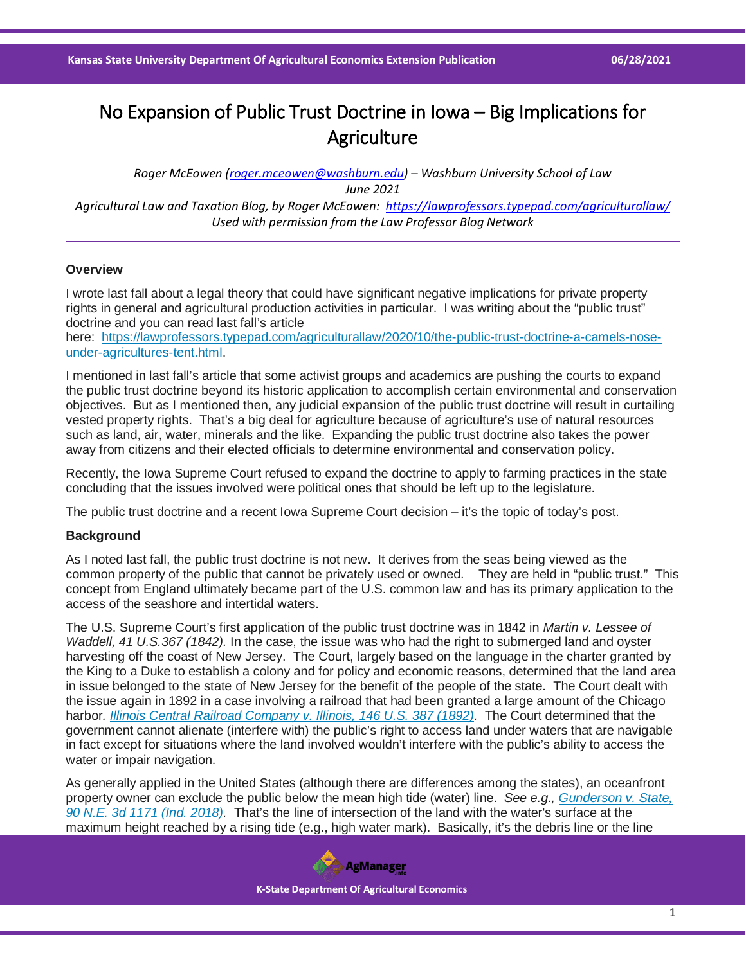# No Expansion of Public Trust Doctrine in Iowa – Big Implications for **Agriculture**

*Roger McEowen [\(roger.mceowen@washburn.edu\)](mailto:roger.mceowen@washburn.edu) – Washburn University School of Law June 2021 Agricultural Law and Taxation Blog, by Roger McEowen:<https://lawprofessors.typepad.com/agriculturallaw/> Used with permission from the Law Professor Blog Network*

## **Overview**

I wrote last fall about a legal theory that could have significant negative implications for private property rights in general and agricultural production activities in particular. I was writing about the "public trust" doctrine and you can read last fall's article

here: [https://lawprofessors.typepad.com/agriculturallaw/2020/10/the-public-trust-doctrine-a-camels-nose](https://lawprofessors.typepad.com/agriculturallaw/2020/10/the-public-trust-doctrine-a-camels-nose-under-agricultures-tent.html)[under-agricultures-tent.html.](https://lawprofessors.typepad.com/agriculturallaw/2020/10/the-public-trust-doctrine-a-camels-nose-under-agricultures-tent.html)

I mentioned in last fall's article that some activist groups and academics are pushing the courts to expand the public trust doctrine beyond its historic application to accomplish certain environmental and conservation objectives. But as I mentioned then, any judicial expansion of the public trust doctrine will result in curtailing vested property rights. That's a big deal for agriculture because of agriculture's use of natural resources such as land, air, water, minerals and the like. Expanding the public trust doctrine also takes the power away from citizens and their elected officials to determine environmental and conservation policy.

Recently, the Iowa Supreme Court refused to expand the doctrine to apply to farming practices in the state concluding that the issues involved were political ones that should be left up to the legislature.

The public trust doctrine and a recent Iowa Supreme Court decision – it's the topic of today's post.

## **Background**

As I noted last fall, the public trust doctrine is not new. It derives from the seas being viewed as the common property of the public that cannot be privately used or owned. They are held in "public trust." This concept from England ultimately became part of the U.S. common law and has its primary application to the access of the seashore and intertidal waters.

The U.S. Supreme Court's first application of the public trust doctrine was in 1842 in *Martin v. Lessee of Waddell, 41 U.S.367 (1842).* In the case, the issue was who had the right to submerged land and oyster harvesting off the coast of New Jersey. The Court, largely based on the language in the charter granted by the King to a Duke to establish a colony and for policy and economic reasons, determined that the land area in issue belonged to the state of New Jersey for the benefit of the people of the state. The Court dealt with the issue again in 1892 in a case involving a railroad that had been granted a large amount of the Chicago harbor*. [Illinois Central Railroad Company v. Illinois, 146 U.S. 387 \(1892\).](https://casetext.com/case/illinois-cent-co-v-state-of-illinois-city-of-chicago-v-illinois-cent-co-state-of-illinois-v-illinois-cent?ref=ArRBZs!7_rfBW)* The Court determined that the government cannot alienate (interfere with) the public's right to access land under waters that are navigable in fact except for situations where the land involved wouldn't interfere with the public's ability to access the water or impair navigation.

As generally applied in the United States (although there are differences among the states), an oceanfront property owner can exclude the public below the mean high tide (water) line. *See e.g., [Gunderson v. State,](https://casetext.com/case/gunderson-v-state-13?ref=ArRBZs!1TEJSK)  [90 N.E. 3d 1171 \(Ind. 2018\).](https://casetext.com/case/gunderson-v-state-13?ref=ArRBZs!1TEJSK)* That's the line of intersection of the land with the water's surface at the maximum height reached by a rising tide (e.g., high water mark). Basically, it's the debris line or the line

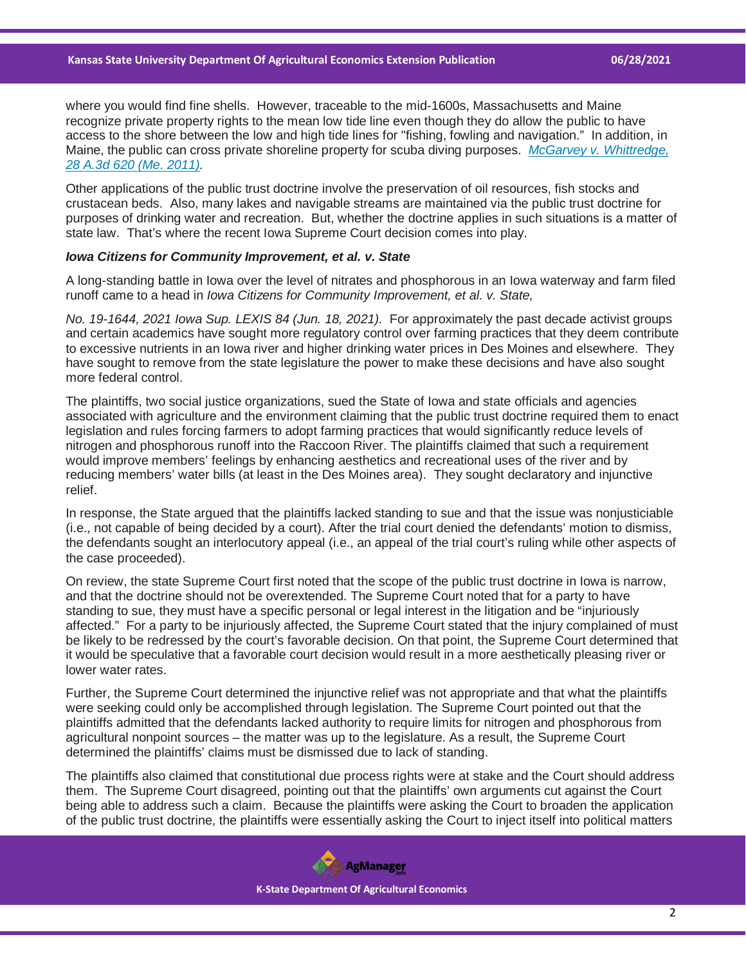where you would find fine shells. However, traceable to the mid-1600s, Massachusetts and Maine recognize private property rights to the mean low tide line even though they do allow the public to have access to the shore between the low and high tide lines for "fishing, fowling and navigation." In addition, in Maine, the public can cross private shoreline property for scuba diving purposes. *[McGarvey v. Whittredge,](https://casetext.com/case/william-a-mcgarvey-jr-v-whittredge?ref=ArRBZs!m18snp)  [28 A.3d 620 \(Me. 2011\).](https://casetext.com/case/william-a-mcgarvey-jr-v-whittredge?ref=ArRBZs!m18snp)*

Other applications of the public trust doctrine involve the preservation of oil resources, fish stocks and crustacean beds. Also, many lakes and navigable streams are maintained via the public trust doctrine for purposes of drinking water and recreation. But, whether the doctrine applies in such situations is a matter of state law. That's where the recent Iowa Supreme Court decision comes into play.

### *Iowa Citizens for Community Improvement, et al. v. State*

A long-standing battle in Iowa over the level of nitrates and phosphorous in an Iowa waterway and farm filed runoff came to a head in *Iowa Citizens for Community Improvement, et al. v. State,*

*No. 19-1644, 2021 Iowa Sup. LEXIS 84 (Jun. 18, 2021).* For approximately the past decade activist groups and certain academics have sought more regulatory control over farming practices that they deem contribute to excessive nutrients in an Iowa river and higher drinking water prices in Des Moines and elsewhere. They have sought to remove from the state legislature the power to make these decisions and have also sought more federal control.

The plaintiffs, two social justice organizations, sued the State of Iowa and state officials and agencies associated with agriculture and the environment claiming that the public trust doctrine required them to enact legislation and rules forcing farmers to adopt farming practices that would significantly reduce levels of nitrogen and phosphorous runoff into the Raccoon River. The plaintiffs claimed that such a requirement would improve members' feelings by enhancing aesthetics and recreational uses of the river and by reducing members' water bills (at least in the Des Moines area). They sought declaratory and injunctive relief.

In response, the State argued that the plaintiffs lacked standing to sue and that the issue was nonjusticiable (i.e., not capable of being decided by a court). After the trial court denied the defendants' motion to dismiss, the defendants sought an interlocutory appeal (i.e., an appeal of the trial court's ruling while other aspects of the case proceeded).

On review, the state Supreme Court first noted that the scope of the public trust doctrine in Iowa is narrow, and that the doctrine should not be overextended. The Supreme Court noted that for a party to have standing to sue, they must have a specific personal or legal interest in the litigation and be "injuriously" affected." For a party to be injuriously affected, the Supreme Court stated that the injury complained of must be likely to be redressed by the court's favorable decision. On that point, the Supreme Court determined that it would be speculative that a favorable court decision would result in a more aesthetically pleasing river or lower water rates.

Further, the Supreme Court determined the injunctive relief was not appropriate and that what the plaintiffs were seeking could only be accomplished through legislation. The Supreme Court pointed out that the plaintiffs admitted that the defendants lacked authority to require limits for nitrogen and phosphorous from agricultural nonpoint sources – the matter was up to the legislature. As a result, the Supreme Court determined the plaintiffs' claims must be dismissed due to lack of standing.

The plaintiffs also claimed that constitutional due process rights were at stake and the Court should address them. The Supreme Court disagreed, pointing out that the plaintiffs' own arguments cut against the Court being able to address such a claim. Because the plaintiffs were asking the Court to broaden the application of the public trust doctrine, the plaintiffs were essentially asking the Court to inject itself into political matters